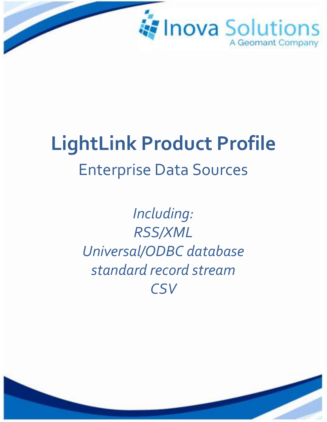

# **LightLink Product Profile** Enterprise Data Sources

*Including: RSS/XML Universal/ODBC database standard record stream CSV*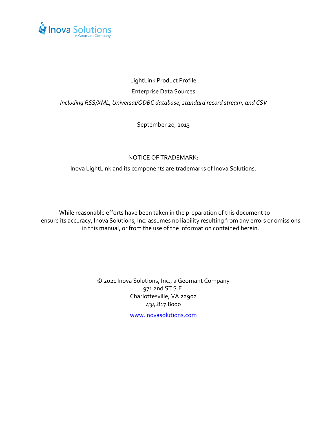

## LightLink Product Profile Enterprise Data Sources *Including RSS/XML, Universal/ODBC database, standard record stream, and CSV*

September 20, 2013

#### NOTICE OF TRADEMARK:

Inova LightLink and its components are trademarks of Inova Solutions.

While reasonable efforts have been taken in the preparation of this document to ensure its accuracy, Inova Solutions, Inc. assumes no liability resulting from any errors or omissions in this manual, or from the use of the information contained herein.

> © 2021 Inova Solutions, Inc., a Geomant Company 971 2nd ST S.E. Charlottesville, VA 22902 434.817.8000

> > [www.inovasolutions.com](http://www.inovasolutions.com/)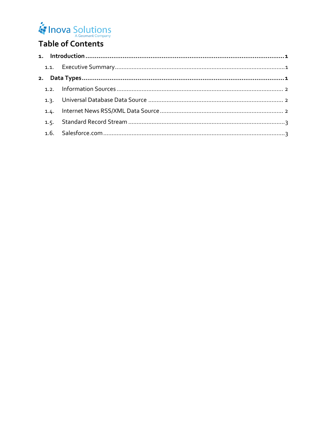## Inova Solutions

## Table of Contents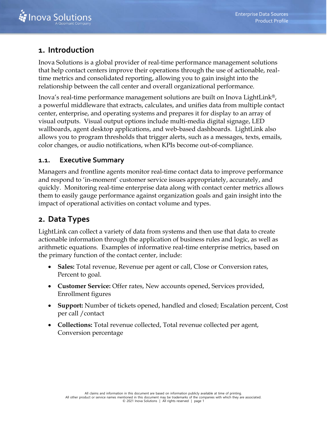## <span id="page-3-0"></span>**1. Introduction**

Inova Solutions is a global provider of real-time performance management solutions that help contact centers improve their operations through the use of actionable, realtime metrics and consolidated reporting, allowing you to gain insight into the relationship between the call center and overall organizational performance.

Inova's real-time performance management solutions are built on Inova LightLink®, a powerful middleware that extracts, calculates, and unifies data from multiple contact center, enterprise, and operating systems and prepares it for display to an array of visual outputs. Visual output options include multi-media digital signage, LED wallboards, agent desktop applications, and web-based dashboards. LightLink also allows you to program thresholds that trigger alerts, such as a messages, texts, emails, color changes, or audio notifications, when KPIs become out-of-compliance.

## <span id="page-3-1"></span>**1.1. Executive Summary**

Managers and frontline agents monitor real-time contact data to improve performance and respond to 'in-moment' customer service issues appropriately, accurately, and quickly. Monitoring real-time enterprise data along with contact center metrics allows them to easily gauge performance against organization goals and gain insight into the impact of operational activities on contact volume and types.

## <span id="page-3-2"></span>**2. Data Types**

LightLink can collect a variety of data from systems and then use that data to create actionable information through the application of business rules and logic, as well as arithmetic equations. Examples of informative real-time enterprise metrics, based on the primary function of the contact center, include:

- **Sales:** Total revenue, Revenue per agent or call, Close or Conversion rates, Percent to goal.
- **Customer Service:** Offer rates, New accounts opened, Services provided, Enrollment figures
- **Support:** Number of tickets opened, handled and closed; Escalation percent, Cost per call /contact
- **Collections:** Total revenue collected, Total revenue collected per agent, Conversion percentage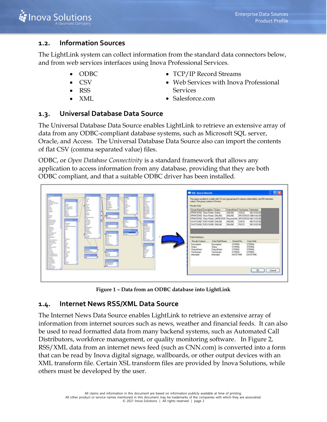#### <span id="page-4-0"></span>**1.2. Information Sources**

The LightLink system can collect information from the standard data connectors below, and from web services interfaces using Inova Professional Services.

- ODBC
- CSV
- RSS
- XML
- TCP/IP Record Streams
- Web Services with Inova Professional Services
- Salesforce.com

## <span id="page-4-1"></span>**1.3. Universal Database Data Source**

The Universal Database Data Source enables LightLink to retrieve an extensive array of data from any ODBC-compliant database systems, such as Microsoft SQL server, Oracle, and Access. The Universal Database Data Source also can import the contents of flat CSV (comma separated value) files.

ODBC, or *Open Database Connectivit*y is a standard framework that allows any application to access information from any database, providing that they are both ODBC compliant, and that a suitable ODBC driver has been installed.



**Figure 1 – Data from an ODBC database into LightLink**

#### <span id="page-4-2"></span>**1.4. Internet News RSS/XML Data Source**

The Internet News Data Source enables LightLink to retrieve an extensive array of information from internet sources such as news, weather and financial feeds. It can also be used to read formatted data from many backend systems, such as Automated Call Distributors, workforce management, or quality monitoring software. In [Figure 2,](#page-5-2) RSS/XML data from an internet news feed (such as CNN.com) is converted into a form that can be read by Inova digital signage, wallboards, or other output devices with an XML transform file. Certain XSL transform files are provided by Inova Solutions, while others must be developed by the user.